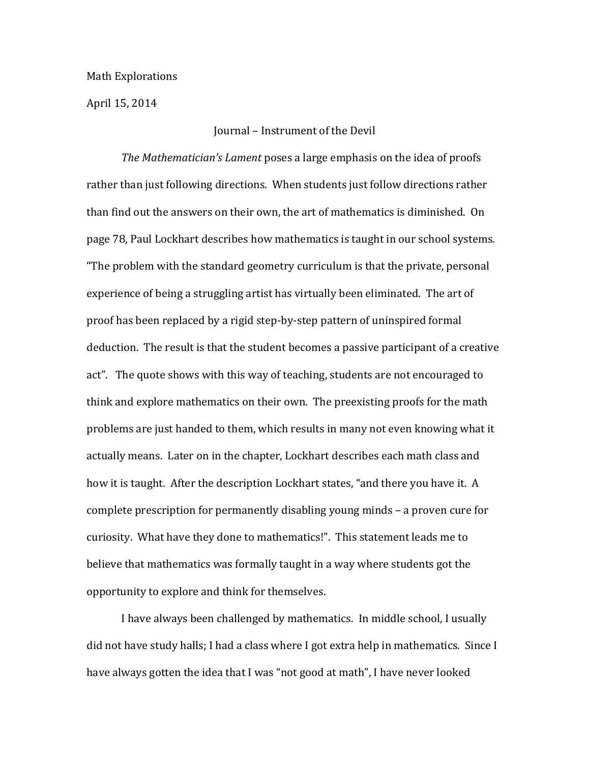## Math Explorations

April 15, 2014

## Journal – Instrument of the Devil

*The Mathematician's Lament* poses a large emphasis on the idea of proofs rather than just following directions. When students just follow directions rather than find out the answers on their own, the art of mathematics is diminished. On page 78, Paul Lockhart describes how mathematics is taught in our school systems. "The problem with the standard geometry curriculum is that the private, personal experience of being a struggling artist has virtually been eliminated. The art of proof has been replaced by a rigid step-by-step pattern of uninspired formal deduction. The result is that the student becomes a passive participant of a creative act". The quote shows with this way of teaching, students are not encouraged to think and explore mathematics on their own. The preexisting proofs for the math problems are just handed to them, which results in many not even knowing what it actually means. Later on in the chapter, Lockhart describes each math class and how it is taught. After the description Lockhart states, "and there you have it. A complete prescription for permanently disabling young minds – a proven cure for curiosity. What have they done to mathematics!". This statement leads me to believe that mathematics was formally taught in a way where students got the opportunity to explore and think for themselves.

I have always been challenged by mathematics. In middle school, I usually did not have study halls; I had a class where I got extra help in mathematics. Since I have always gotten the idea that I was "not good at math", I have never looked